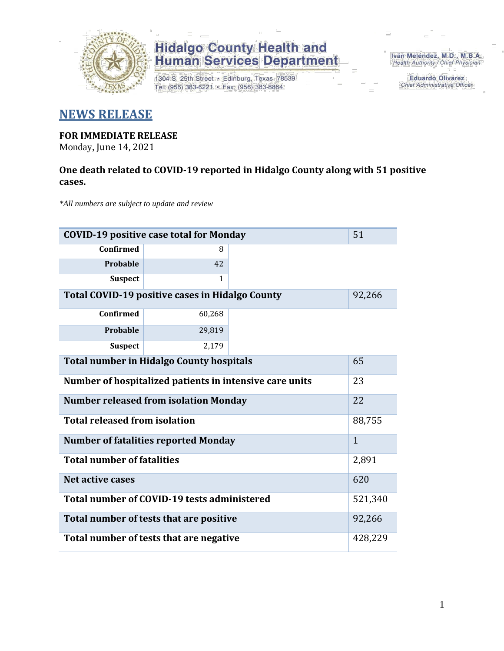

# **Hidalgo County Health and<br>Human Services Department**

1304 S. 25th Street · Edinburg, Texas 78539 Tel: (956) 383-6221 · Fax: (956) 383-8864

Iván Meléndez, M.D., M.B.A. Health Authority / Chief Physician

> **Eduardo Olivarez** Chief Administrative Officer

#### **NEWS RELEASE**

### **FOR IMMEDIATE RELEASE**

Monday, June 14, 2021

#### **One death related to COVID-19 reported in Hidalgo County along with 51 positive cases.**

*\*All numbers are subject to update and review*

| <b>COVID-19 positive case total for Monday</b><br>51    |              |  |  |  |  |  |
|---------------------------------------------------------|--------------|--|--|--|--|--|
| <b>Confirmed</b>                                        | 8            |  |  |  |  |  |
| Probable                                                | 42           |  |  |  |  |  |
| <b>Suspect</b>                                          | $\mathbf{1}$ |  |  |  |  |  |
| Total COVID-19 positive cases in Hidalgo County         | 92,266       |  |  |  |  |  |
| <b>Confirmed</b>                                        | 60,268       |  |  |  |  |  |
| Probable                                                | 29,819       |  |  |  |  |  |
| <b>Suspect</b>                                          | 2,179        |  |  |  |  |  |
| <b>Total number in Hidalgo County hospitals</b>         | 65           |  |  |  |  |  |
| Number of hospitalized patients in intensive care units | 23           |  |  |  |  |  |
| <b>Number released from isolation Monday</b>            | 22           |  |  |  |  |  |
| <b>Total released from isolation</b>                    | 88,755       |  |  |  |  |  |
| <b>Number of fatalities reported Monday</b>             | $\mathbf{1}$ |  |  |  |  |  |
| <b>Total number of fatalities</b>                       | 2,891        |  |  |  |  |  |
| Net active cases                                        | 620          |  |  |  |  |  |
| Total number of COVID-19 tests administered             |              |  |  |  |  |  |
| Total number of tests that are positive                 |              |  |  |  |  |  |
| Total number of tests that are negative                 |              |  |  |  |  |  |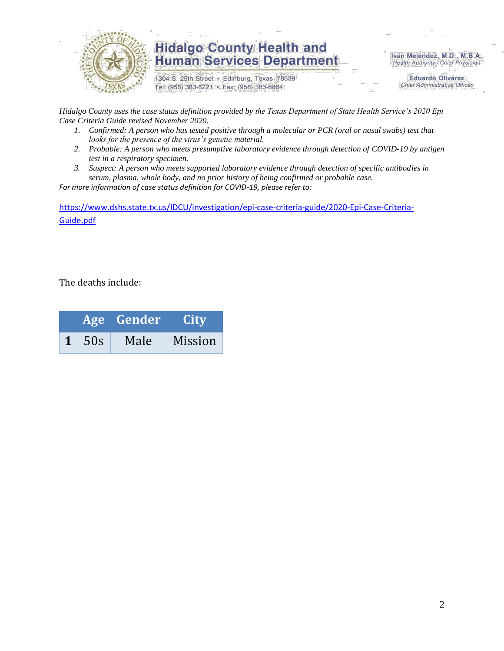

### **Hidalgo County Health and Human Services Department**

1304 S. 25th Street · Edinburg, Texas 78539 Tel: (956) 383-6221 · Fax: (956) 383-8864

Iván Meléndez, M.D., M.B.A. Health Authority / Chief Physician

> **Eduardo Olivarez Chief Administrative Officer**

*Hidalgo County uses the case status definition provided by the Texas Department of State Health Service's 2020 Epi Case Criteria Guide revised November 2020.*

- *1. Confirmed: A person who has tested positive through a molecular or PCR (oral or nasal swabs) test that looks for the presence of the virus's genetic material.*
- *2. Probable: A person who meets presumptive laboratory evidence through detection of COVID-19 by antigen test in a respiratory specimen.*
- *3. Suspect: A person who meets supported laboratory evidence through detection of specific antibodies in serum, plasma, whole body, and no prior history of being confirmed or probable case.*

*For more information of case status definition for COVID-19, please refer to:*

[https://www.dshs.state.tx.us/IDCU/investigation/epi-case-criteria-guide/2020-Epi-Case-Criteria-](https://www.dshs.state.tx.us/IDCU/investigation/epi-case-criteria-guide/2020-Epi-Case-Criteria-Guide.pdf)[Guide.pdf](https://www.dshs.state.tx.us/IDCU/investigation/epi-case-criteria-guide/2020-Epi-Case-Criteria-Guide.pdf)

The deaths include:

|              | Age Gender | <b>City</b> |
|--------------|------------|-------------|
| $1 \mid 50s$ | Male       | Mission     |